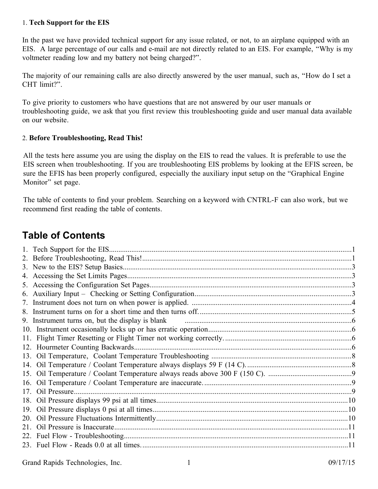### <span id="page-0-1"></span>1. **Tech Support for the EIS**

In the past we have provided technical support for any issue related, or not, to an airplane equipped with an EIS. A large percentage of our calls and e-mail are not directly related to an EIS. For example, "Why is my voltmeter reading low and my battery not being charged?".

The majority of our remaining calls are also directly answered by the user manual, such as, "How do I set a CHT limit?".

To give priority to customers who have questions that are not answered by our user manuals or troubleshooting guide, we ask that you first review this troubleshooting guide and user manual data available on our website.

### <span id="page-0-0"></span>2. **Before Troubleshooting, Read This!**

All the tests here assume you are using the display on the EIS to read the values. It is preferable to use the EIS screen when troubleshooting. If you are troubleshooting EIS problems by looking at the EFIS screen, be sure the EFIS has been properly configured, especially the auxiliary input setup on the "Graphical Engine Monitor" set page.

The table of contents to find your problem. Searching on a keyword with CNTRL-F can also work, but we recommend first reading the table of contents.

# **Table of Contents**

|     | 9. Instrument turns on, but the display is blank manufactured and the display of the display is blank |  |
|-----|-------------------------------------------------------------------------------------------------------|--|
|     |                                                                                                       |  |
|     |                                                                                                       |  |
|     |                                                                                                       |  |
|     |                                                                                                       |  |
|     |                                                                                                       |  |
|     |                                                                                                       |  |
| 16. |                                                                                                       |  |
|     |                                                                                                       |  |
|     |                                                                                                       |  |
| 19. |                                                                                                       |  |
| 20. |                                                                                                       |  |
| 21  |                                                                                                       |  |
|     |                                                                                                       |  |
|     |                                                                                                       |  |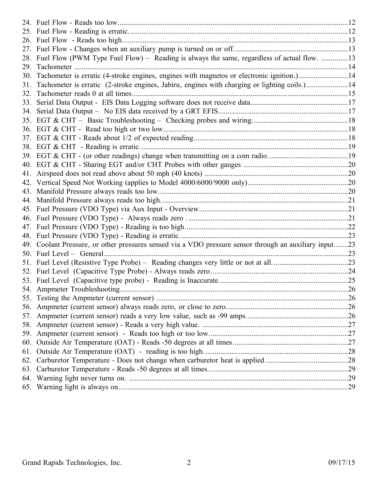|     | 28. Fuel Flow (PWM Type Fuel Flow) - Reading is always the same, regardless of actual flow. 13     |  |
|-----|----------------------------------------------------------------------------------------------------|--|
| 29. |                                                                                                    |  |
| 30. | Tachometer is erratic (4-stroke engines, engines with magnetos or electronic ignition.)14          |  |
| 31. | Tachometer is erratic (2-stroke engines, Jabiru, engines with charging or lighting coils.)14       |  |
| 32. |                                                                                                    |  |
| 33. |                                                                                                    |  |
| 34. |                                                                                                    |  |
|     |                                                                                                    |  |
|     |                                                                                                    |  |
|     |                                                                                                    |  |
|     |                                                                                                    |  |
|     |                                                                                                    |  |
|     |                                                                                                    |  |
| 41. |                                                                                                    |  |
|     |                                                                                                    |  |
|     |                                                                                                    |  |
|     |                                                                                                    |  |
|     |                                                                                                    |  |
|     |                                                                                                    |  |
|     |                                                                                                    |  |
|     |                                                                                                    |  |
| 49. | Coolant Pressure, or other pressures sensed via a VDO pressure sensor through an auxiliary input23 |  |
|     |                                                                                                    |  |
|     |                                                                                                    |  |
|     |                                                                                                    |  |
|     |                                                                                                    |  |
|     |                                                                                                    |  |
|     |                                                                                                    |  |
|     |                                                                                                    |  |
|     |                                                                                                    |  |
|     |                                                                                                    |  |
|     |                                                                                                    |  |
| 60. |                                                                                                    |  |
| 61. |                                                                                                    |  |
|     |                                                                                                    |  |
|     |                                                                                                    |  |
|     |                                                                                                    |  |
|     |                                                                                                    |  |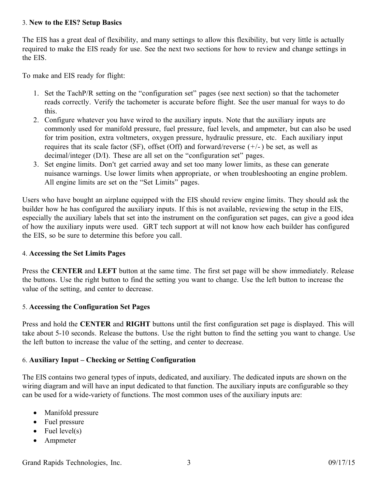### <span id="page-2-3"></span>3. **New to the EIS? Setup Basics**

The EIS has a great deal of flexibility, and many settings to allow this flexibility, but very little is actually required to make the EIS ready for use. See the next two sections for how to review and change settings in the EIS.

To make and EIS ready for flight:

- 1. Set the TachP/R setting on the "configuration set" pages (see next section) so that the tachometer reads correctly. Verify the tachometer is accurate before flight. See the user manual for ways to do this.
- 2. Configure whatever you have wired to the auxiliary inputs. Note that the auxiliary inputs are commonly used for manifold pressure, fuel pressure, fuel levels, and ampmeter, but can also be used for trim position, extra voltmeters, oxygen pressure, hydraulic pressure, etc. Each auxiliary input requires that its scale factor (SF), offset (Off) and forward/reverse  $(+/-)$  be set, as well as decimal/integer (D/I). These are all set on the "configuration set" pages.
- 3. Set engine limits. Don't get carried away and set too many lower limits, as these can generate nuisance warnings. Use lower limits when appropriate, or when troubleshooting an engine problem. All engine limits are set on the "Set Limits" pages.

Users who have bought an airplane equipped with the EIS should review engine limits. They should ask the builder how he has configured the auxiliary inputs. If this is not available, reviewing the setup in the EIS, especially the auxiliary labels that set into the instrument on the configuration set pages, can give a good idea of how the auxiliary inputs were used. GRT tech support at will not know how each builder has configured the EIS, so be sure to determine this before you call.

## <span id="page-2-2"></span>4. **Accessing the Set Limits Pages**

Press the **CENTER** and **LEFT** button at the same time. The first set page will be show immediately. Release the buttons. Use the right button to find the setting you want to change. Use the left button to increase the value of the setting, and center to decrease.

## <span id="page-2-1"></span>5. **Accessing the Configuration Set Pages**

Press and hold the **CENTER** and **RIGHT** buttons until the first configuration set page is displayed. This will take about 5-10 seconds. Release the buttons. Use the right button to find the setting you want to change. Use the left button to increase the value of the setting, and center to decrease.

## <span id="page-2-0"></span>6. **Auxiliary Input – Checking or Setting Configuration**

The EIS contains two general types of inputs, dedicated, and auxiliary. The dedicated inputs are shown on the wiring diagram and will have an input dedicated to that function. The auxiliary inputs are configurable so they can be used for a wide-variety of functions. The most common uses of the auxiliary inputs are:

- Manifold pressure
- Fuel pressure
- $\bullet$  Fuel level(s)
- Ampmeter

Grand Rapids Technologies, Inc. 3 09/17/15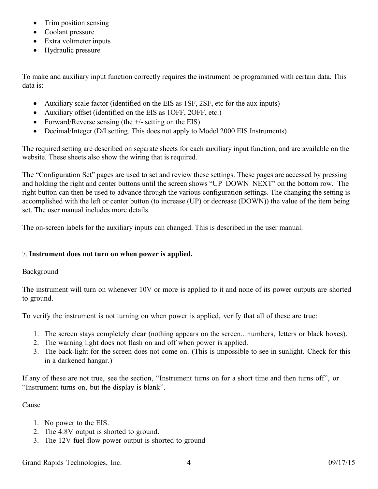- Trim position sensing
- Coolant pressure
- Extra voltmeter inputs
- Hydraulic pressure

To make and auxiliary input function correctly requires the instrument be programmed with certain data. This data is:

- Auxiliary scale factor (identified on the EIS as 1SF, 2SF, etc for the aux inputs)
- Auxiliary offset (identified on the EIS as 1OFF, 2OFF, etc.)
- Forward/Reverse sensing (the  $+/-$  setting on the EIS)
- Decimal/Integer (D/I setting. This does not apply to Model 2000 EIS Instruments)

The required setting are described on separate sheets for each auxiliary input function, and are available on the website. These sheets also show the wiring that is required.

The "Configuration Set" pages are used to set and review these settings. These pages are accessed by pressing and holding the right and center buttons until the screen shows "UP DOWN NEXT" on the bottom row. The right button can then be used to advance through the various configuration settings. The changing the setting is accomplished with the left or center button (to increase (UP) or decrease (DOWN)) the value of the item being set. The user manual includes more details.

The on-screen labels for the auxiliary inputs can changed. This is described in the user manual.

## <span id="page-3-0"></span>7. **Instrument does not turn on when power is applied.**

## Background

The instrument will turn on whenever 10V or more is applied to it and none of its power outputs are shorted to ground.

To verify the instrument is not turning on when power is applied, verify that all of these are true:

- 1. The screen stays completely clear (nothing appears on the screen...numbers, letters or black boxes).
- 2. The warning light does not flash on and off when power is applied.
- 3. The back-light for the screen does not come on. (This is impossible to see in sunlight. Check for this in a darkened hangar.)

If any of these are not true, see the section, "Instrument turns on for a short time and then turns off", or "Instrument turns on, but the display is blank".

## Cause

- 1. No power to the EIS.
- 2. The 4.8V output is shorted to ground.
- 3. The 12V fuel flow power output is shorted to ground

Grand Rapids Technologies, Inc. 4 09/17/15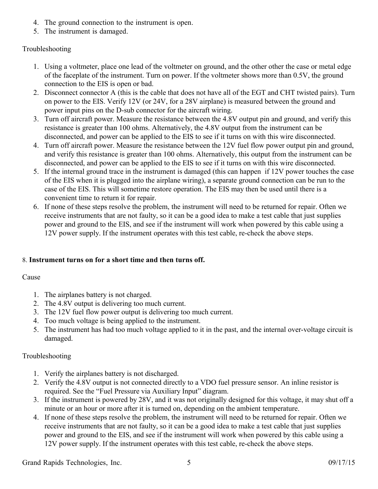- 4. The ground connection to the instrument is open.
- 5. The instrument is damaged.

## Troubleshooting

- 1. Using a voltmeter, place one lead of the voltmeter on ground, and the other other the case or metal edge of the faceplate of the instrument. Turn on power. If the voltmeter shows more than 0.5V, the ground connection to the EIS is open or bad.
- 2. Disconnect connector A (this is the cable that does not have all of the EGT and CHT twisted pairs). Turn on power to the EIS. Verify 12V (or 24V, for a 28V airplane) is measured between the ground and power input pins on the D-sub connector for the aircraft wiring.
- 3. Turn off aircraft power. Measure the resistance between the 4.8V output pin and ground, and verify this resistance is greater than 100 ohms. Alternatively, the 4.8V output from the instrument can be disconnected, and power can be applied to the EIS to see if it turns on with this wire disconnected.
- 4. Turn off aircraft power. Measure the resistance between the 12V fuel flow power output pin and ground, and verify this resistance is greater than 100 ohms. Alternatively, this output from the instrument can be disconnected, and power can be applied to the EIS to see if it turns on with this wire disconnected.
- 5. If the internal ground trace in the instrument is damaged (this can happen if 12V power touches the case of the EIS when it is plugged into the airplane wiring), a separate ground connection can be run to the case of the EIS. This will sometime restore operation. The EIS may then be used until there is a convenient time to return it for repair.
- 6. If none of these steps resolve the problem, the instrument will need to be returned for repair. Often we receive instruments that are not faulty, so it can be a good idea to make a test cable that just supplies power and ground to the EIS, and see if the instrument will work when powered by this cable using a 12V power supply. If the instrument operates with this test cable, re-check the above steps.

## <span id="page-4-0"></span>8. **Instrument turns on for a short time and then turns off.**

## Cause

- 1. The airplanes battery is not charged.
- 2. The 4.8V output is delivering too much current.
- 3. The 12V fuel flow power output is delivering too much current.
- 4. Too much voltage is being applied to the instrument.
- 5. The instrument has had too much voltage applied to it in the past, and the internal over-voltage circuit is damaged.

## Troubleshooting

- 1. Verify the airplanes battery is not discharged.
- 2. Verify the 4.8V output is not connected directly to a VDO fuel pressure sensor. An inline resistor is required. See the "Fuel Pressure via Auxiliary Input" diagram.
- 3. If the instrument is powered by 28V, and it was not originally designed for this voltage, it may shut off a minute or an hour or more after it is turned on, depending on the ambient temperature.
- 4. If none of these steps resolve the problem, the instrument will need to be returned for repair. Often we receive instruments that are not faulty, so it can be a good idea to make a test cable that just supplies power and ground to the EIS, and see if the instrument will work when powered by this cable using a 12V power supply. If the instrument operates with this test cable, re-check the above steps.

Grand Rapids Technologies, Inc. 5 09/17/15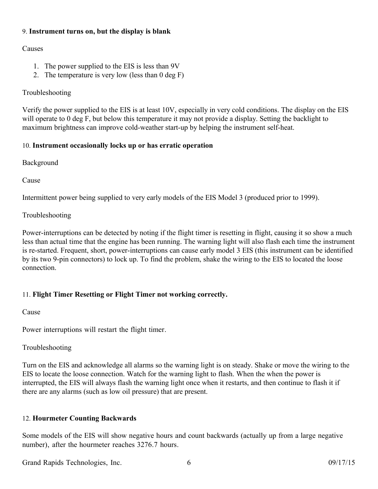## <span id="page-5-3"></span>9. **Instrument turns on, but the display is blank**

## Causes

- 1. The power supplied to the EIS is less than 9V
- 2. The temperature is very low (less than 0 deg F)

## Troubleshooting

Verify the power supplied to the EIS is at least 10V, especially in very cold conditions. The display on the EIS will operate to 0 deg F, but below this temperature it may not provide a display. Setting the backlight to maximum brightness can improve cold-weather start-up by helping the instrument self-heat.

## <span id="page-5-2"></span>10. **Instrument occasionally locks up or has erratic operation**

Background

Cause

Intermittent power being supplied to very early models of the EIS Model 3 (produced prior to 1999).

## Troubleshooting

Power-interruptions can be detected by noting if the flight timer is resetting in flight, causing it so show a much less than actual time that the engine has been running. The warning light will also flash each time the instrument is re-started. Frequent, short, power-interruptions can cause early model 3 EIS (this instrument can be identified by its two 9-pin connectors) to lock up. To find the problem, shake the wiring to the EIS to located the loose connection.

## <span id="page-5-1"></span>11. **Flight Timer Resetting or Flight Timer not working correctly.**

## Cause

Power interruptions will restart the flight timer.

## Troubleshooting

Turn on the EIS and acknowledge all alarms so the warning light is on steady. Shake or move the wiring to the EIS to locate the loose connection. Watch for the warning light to flash. When the when the power is interrupted, the EIS will always flash the warning light once when it restarts, and then continue to flash it if there are any alarms (such as low oil pressure) that are present.

## <span id="page-5-0"></span>12. **Hourmeter Counting Backwards**

Some models of the EIS will show negative hours and count backwards (actually up from a large negative number), after the hourmeter reaches 3276.7 hours.

Grand Rapids Technologies, Inc. 6 09/17/15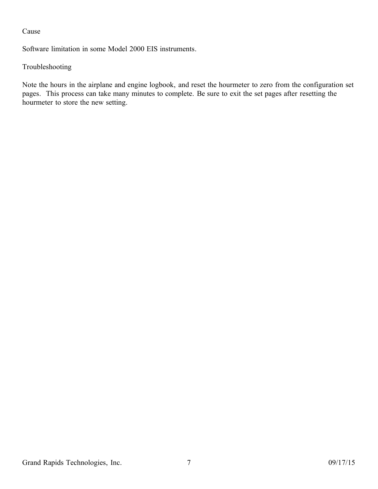## Cause

Software limitation in some Model 2000 EIS instruments.

## Troubleshooting

Note the hours in the airplane and engine logbook, and reset the hourmeter to zero from the configuration set pages. This process can take many minutes to complete. Be sure to exit the set pages after resetting the hourmeter to store the new setting.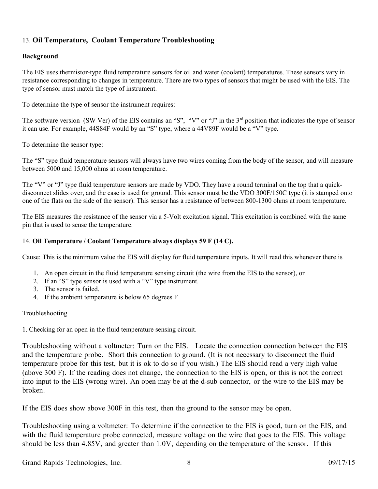## <span id="page-7-1"></span>13. **Oil Temperature, Coolant Temperature Troubleshooting**

#### **Background**

The EIS uses thermistor-type fluid temperature sensors for oil and water (coolant) temperatures. These sensors vary in resistance corresponding to changes in temperature. There are two types of sensors that might be used with the EIS. The type of sensor must match the type of instrument.

To determine the type of sensor the instrument requires:

The software version (SW Ver) of the EIS contains an "S", "V" or "J" in the  $3<sup>rd</sup>$  position that indicates the type of sensor it can use. For example, 44S84F would by an "S" type, where a 44V89F would be a "V" type.

To determine the sensor type:

The "S" type fluid temperature sensors will always have two wires coming from the body of the sensor, and will measure between 5000 and 15,000 ohms at room temperature.

The "V" or "J" type fluid temperature sensors are made by VDO. They have a round terminal on the top that a quickdisconnect slides over, and the case is used for ground. This sensor must be the VDO 300F/150C type (it is stamped onto one of the flats on the side of the sensor). This sensor has a resistance of between 800-1300 ohms at room temperature.

The EIS measures the resistance of the sensor via a 5-Volt excitation signal. This excitation is combined with the same pin that is used to sense the temperature.

#### <span id="page-7-0"></span>14. **Oil Temperature / Coolant Temperature always displays 59 F (14 C).**

Cause: This is the minimum value the EIS will display for fluid temperature inputs. It will read this whenever there is

- 1. An open circuit in the fluid temperature sensing circuit (the wire from the EIS to the sensor), or
- 2. If an "S" type sensor is used with a "V" type instrument.
- 3. The sensor is failed.
- 4. If the ambient temperature is below 65 degrees F

#### Troubleshooting

1. Checking for an open in the fluid temperature sensing circuit.

Troubleshooting without a voltmeter: Turn on the EIS. Locate the connection connection between the EIS and the temperature probe. Short this connection to ground. (It is not necessary to disconnect the fluid temperature probe for this test, but it is ok to do so if you wish.) The EIS should read a very high value (above 300 F). If the reading does not change, the connection to the EIS is open, or this is not the correct into input to the EIS (wrong wire). An open may be at the d-sub connector, or the wire to the EIS may be broken.

If the EIS does show above 300F in this test, then the ground to the sensor may be open.

Troubleshooting using a voltmeter: To determine if the connection to the EIS is good, turn on the EIS, and with the fluid temperature probe connected, measure voltage on the wire that goes to the EIS. This voltage should be less than 4.85V, and greater than 1.0V, depending on the temperature of the sensor. If this

Grand Rapids Technologies, Inc. 8 09/17/15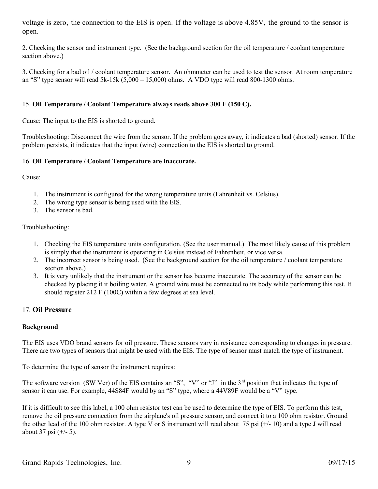voltage is zero, the connection to the EIS is open. If the voltage is above 4.85V, the ground to the sensor is open.

2. Checking the sensor and instrument type. (See the background section for the oil temperature / coolant temperature section above.)

3. Checking for a bad oil / coolant temperature sensor. An ohmmeter can be used to test the sensor. At room temperature an "S" type sensor will read  $5k-15k (5,000 - 15,000)$  ohms. A VDO type will read 800-1300 ohms.

#### <span id="page-8-2"></span>15. **Oil Temperature / Coolant Temperature always reads above 300 F (150 C).**

Cause: The input to the EIS is shorted to ground.

Troubleshooting: Disconnect the wire from the sensor. If the problem goes away, it indicates a bad (shorted) sensor. If the problem persists, it indicates that the input (wire) connection to the EIS is shorted to ground.

#### <span id="page-8-1"></span>16. **Oil Temperature / Coolant Temperature are inaccurate.**

Cause:

- 1. The instrument is configured for the wrong temperature units (Fahrenheit vs. Celsius).
- 2. The wrong type sensor is being used with the EIS.
- 3. The sensor is bad.

#### Troubleshooting:

- 1. Checking the EIS temperature units configuration. (See the user manual.) The most likely cause of this problem is simply that the instrument is operating in Celsius instead of Fahrenheit, or vice versa.
- 2. The incorrect sensor is being used. (See the background section for the oil temperature / coolant temperature section above.)
- 3. It is very unlikely that the instrument or the sensor has become inaccurate. The accuracy of the sensor can be checked by placing it it boiling water. A ground wire must be connected to its body while performing this test. It should register 212 F (100C) within a few degrees at sea level.

#### <span id="page-8-0"></span>17. **Oil Pressure**

#### **Background**

The EIS uses VDO brand sensors for oil pressure. These sensors vary in resistance corresponding to changes in pressure. There are two types of sensors that might be used with the EIS. The type of sensor must match the type of instrument.

To determine the type of sensor the instrument requires:

The software version (SW Ver) of the EIS contains an "S", "V" or "J" in the 3<sup>rd</sup> position that indicates the type of sensor it can use. For example, 44S84F would by an "S" type, where a 44V89F would be a "V" type.

If it is difficult to see this label, a 100 ohm resistor test can be used to determine the type of EIS. To perform this test, remove the oil pressure connection from the airplane's oil pressure sensor, and connect it to a 100 ohm resistor. Ground the other lead of the 100 ohm resistor. A type V or S instrument will read about 75 psi (+/- 10) and a type J will read about 37 psi (+/- 5).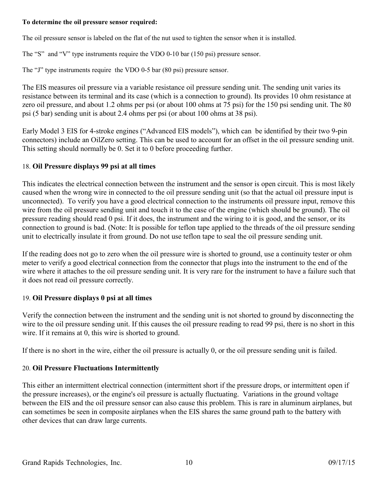### **To determine the oil pressure sensor required:**

The oil pressure sensor is labeled on the flat of the nut used to tighten the sensor when it is installed.

The "S" and "V" type instruments require the VDO 0-10 bar (150 psi) pressure sensor.

The "J" type instruments require the VDO 0-5 bar (80 psi) pressure sensor.

The EIS measures oil pressure via a variable resistance oil pressure sending unit. The sending unit varies its resistance between its terminal and its case (which is a connection to ground). Its provides 10 ohm resistance at zero oil pressure, and about 1.2 ohms per psi (or about 100 ohms at 75 psi) for the 150 psi sending unit. The 80 psi (5 bar) sending unit is about 2.4 ohms per psi (or about 100 ohms at 38 psi).

Early Model 3 EIS for 4-stroke engines ("Advanced EIS models"), which can be identified by their two 9-pin connectors) include an OilZero setting. This can be used to account for an offset in the oil pressure sending unit. This setting should normally be 0. Set it to 0 before proceeding further.

## <span id="page-9-2"></span>18. **Oil Pressure displays 99 psi at all times**

This indicates the electrical connection between the instrument and the sensor is open circuit. This is most likely caused when the wrong wire in connected to the oil pressure sending unit (so that the actual oil pressure input is unconnected). To verify you have a good electrical connection to the instruments oil pressure input, remove this wire from the oil pressure sending unit and touch it to the case of the engine (which should be ground). The oil pressure reading should read 0 psi. If it does, the instrument and the wiring to it is good, and the sensor, or its connection to ground is bad. (Note: It is possible for teflon tape applied to the threads of the oil pressure sending unit to electrically insulate it from ground. Do not use teflon tape to seal the oil pressure sending unit.

If the reading does not go to zero when the oil pressure wire is shorted to ground, use a continuity tester or ohm meter to verify a good electrical connection from the connector that plugs into the instrument to the end of the wire where it attaches to the oil pressure sending unit. It is very rare for the instrument to have a failure such that it does not read oil pressure correctly.

## <span id="page-9-1"></span>19. **Oil Pressure displays 0 psi at all times**

Verify the connection between the instrument and the sending unit is not shorted to ground by disconnecting the wire to the oil pressure sending unit. If this causes the oil pressure reading to read 99 psi, there is no short in this wire. If it remains at 0, this wire is shorted to ground.

If there is no short in the wire, either the oil pressure is actually 0, or the oil pressure sending unit is failed.

## <span id="page-9-0"></span>20. **Oil Pressure Fluctuations Intermittently**

This either an intermittent electrical connection (intermittent short if the pressure drops, or intermittent open if the pressure increases), or the engine's oil pressure is actually fluctuating. Variations in the ground voltage between the EIS and the oil pressure sensor can also cause this problem. This is rare in aluminum airplanes, but can sometimes be seen in composite airplanes when the EIS shares the same ground path to the battery with other devices that can draw large currents.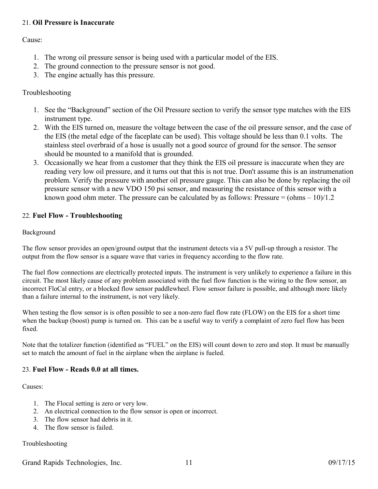### <span id="page-10-2"></span>21. **Oil Pressure is Inaccurate**

Cause:

- 1. The wrong oil pressure sensor is being used with a particular model of the EIS.
- 2. The ground connection to the pressure sensor is not good.
- 3. The engine actually has this pressure.

### Troubleshooting

- 1. See the "Background" section of the Oil Pressure section to verify the sensor type matches with the EIS instrument type.
- 2. With the EIS turned on, measure the voltage between the case of the oil pressure sensor, and the case of the EIS (the metal edge of the faceplate can be used). This voltage should be less than 0.1 volts. The stainless steel overbraid of a hose is usually not a good source of ground for the sensor. The sensor should be mounted to a manifold that is grounded.
- 3. Occasionally we hear from a customer that they think the EIS oil pressure is inaccurate when they are reading very low oil pressure, and it turns out that this is not true. Don't assume this is an instrumenation problem. Verify the pressure with another oil pressure gauge. This can also be done by replacing the oil pressure sensor with a new VDO 150 psi sensor, and measuring the resistance of this sensor with a known good ohm meter. The pressure can be calculated by as follows: Pressure  $= (\text{ohms} - 10)/1.2$

## <span id="page-10-1"></span>22. **Fuel Flow - Troubleshooting**

#### Background

The flow sensor provides an open/ground output that the instrument detects via a 5V pull-up through a resistor. The output from the flow sensor is a square wave that varies in frequency according to the flow rate.

The fuel flow connections are electrically protected inputs. The instrument is very unlikely to experience a failure in this circuit. The most likely cause of any problem associated with the fuel flow function is the wiring to the flow sensor, an incorrect FloCal entry, or a blocked flow sensor paddlewheel. Flow sensor failure is possible, and although more likely than a failure internal to the instrument, is not very likely.

When testing the flow sensor is is often possible to see a non-zero fuel flow rate (FLOW) on the EIS for a short time when the backup (boost) pump is turned on. This can be a useful way to verify a complaint of zero fuel flow has been fixed.

Note that the totalizer function (identified as "FUEL" on the EIS) will count down to zero and stop. It must be manually set to match the amount of fuel in the airplane when the airplane is fueled.

#### <span id="page-10-0"></span>23. **Fuel Flow - Reads 0.0 at all times.**

Causes:

- 1. The Flocal setting is zero or very low.
- 2. An electrical connection to the flow sensor is open or incorrect.
- 3. The flow sensor had debris in it.
- 4. The flow sensor is failed.

#### Troubleshooting

Grand Rapids Technologies, Inc. 11 09/17/15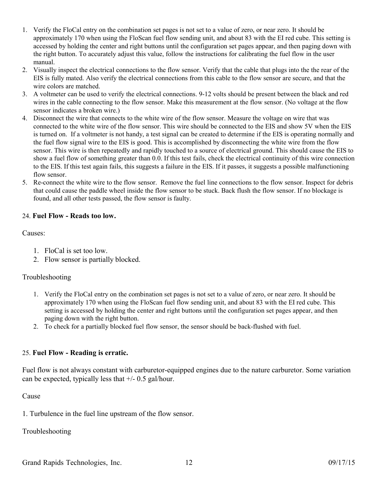- 1. Verify the FloCal entry on the combination set pages is not set to a value of zero, or near zero. It should be approximately 170 when using the FloScan fuel flow sending unit, and about 83 with the EI red cube. This setting is accessed by holding the center and right buttons until the configuration set pages appear, and then paging down with the right button. To accurately adjust this value, follow the instructions for calibrating the fuel flow in the user manual.
- 2. Visually inspect the electrical connections to the flow sensor. Verify that the cable that plugs into the the rear of the EIS is fully mated. Also verify the electrical connections from this cable to the flow sensor are secure, and that the wire colors are matched.
- 3. A voltmeter can be used to verify the electrical connections. 9-12 volts should be present between the black and red wires in the cable connecting to the flow sensor. Make this measurement at the flow sensor. (No voltage at the flow sensor indicates a broken wire.)
- 4. Disconnect the wire that connects to the white wire of the flow sensor. Measure the voltage on wire that was connected to the white wire of the flow sensor. This wire should be connected to the EIS and show 5V when the EIS is turned on. If a voltmeter is not handy, a test signal can be created to determine if the EIS is operating normally and the fuel flow signal wire to the EIS is good. This is accomplished by disconnecting the white wire from the flow sensor. This wire is then repeatedly and rapidly touched to a source of electrical ground. This should cause the EIS to show a fuel flow of something greater than 0.0. If this test fails, check the electrical continuity of this wire connection to the EIS. If this test again fails, this suggests a failure in the EIS. If it passes, it suggests a possible malfunctioning flow sensor.
- 5. Re-connect the white wire to the flow sensor. Remove the fuel line connections to the flow sensor. Inspect for debris that could cause the paddle wheel inside the flow sensor to be stuck. Back flush the flow sensor. If no blockage is found, and all other tests passed, the flow sensor is faulty.

## <span id="page-11-1"></span>24. **Fuel Flow - Reads too low.**

#### Causes:

- 1. FloCal is set too low.
- 2. Flow sensor is partially blocked.

## Troubleshooting

- 1. Verify the FloCal entry on the combination set pages is not set to a value of zero, or near zero. It should be approximately 170 when using the FloScan fuel flow sending unit, and about 83 with the EI red cube. This setting is accessed by holding the center and right buttons until the configuration set pages appear, and then paging down with the right button.
- 2. To check for a partially blocked fuel flow sensor, the sensor should be back-flushed with fuel.

## <span id="page-11-0"></span>25. **Fuel Flow - Reading is erratic.**

Fuel flow is not always constant with carburetor-equipped engines due to the nature carburetor. Some variation can be expected, typically less that  $+/- 0.5$  gal/hour.

## Cause

1. Turbulence in the fuel line upstream of the flow sensor.

Troubleshooting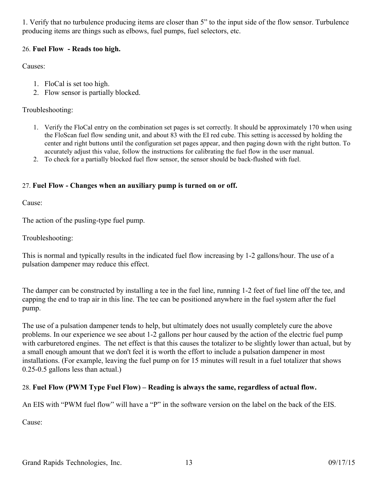1. Verify that no turbulence producing items are closer than 5" to the input side of the flow sensor. Turbulence producing items are things such as elbows, fuel pumps, fuel selectors, etc.

## <span id="page-12-2"></span>26. **Fuel Flow - Reads too high.**

Causes:

- 1. FloCal is set too high.
- 2. Flow sensor is partially blocked.

## Troubleshooting:

- 1. Verify the FloCal entry on the combination set pages is set correctly. It should be approximately 170 when using the FloScan fuel flow sending unit, and about 83 with the EI red cube. This setting is accessed by holding the center and right buttons until the configuration set pages appear, and then paging down with the right button. To accurately adjust this value, follow the instructions for calibrating the fuel flow in the user manual.
- 2. To check for a partially blocked fuel flow sensor, the sensor should be back-flushed with fuel.

## <span id="page-12-1"></span>27. **Fuel Flow - Changes when an auxiliary pump is turned on or off.**

Cause:

The action of the pusling-type fuel pump.

Troubleshooting:

This is normal and typically results in the indicated fuel flow increasing by 1-2 gallons/hour. The use of a pulsation dampener may reduce this effect.

The damper can be constructed by installing a tee in the fuel line, running 1-2 feet of fuel line off the tee, and capping the end to trap air in this line. The tee can be positioned anywhere in the fuel system after the fuel pump.

The use of a pulsation dampener tends to help, but ultimately does not usually completely cure the above problems. In our experience we see about 1-2 gallons per hour caused by the action of the electric fuel pump with carburetored engines. The net effect is that this causes the totalizer to be slightly lower than actual, but by a small enough amount that we don't feel it is worth the effort to include a pulsation dampener in most installations. (For example, leaving the fuel pump on for 15 minutes will result in a fuel totalizer that shows 0.25-0.5 gallons less than actual.)

## <span id="page-12-0"></span>28. **Fuel Flow (PWM Type Fuel Flow) – Reading is always the same, regardless of actual flow.**

An EIS with "PWM fuel flow" will have a "P" in the software version on the label on the back of the EIS.

Cause: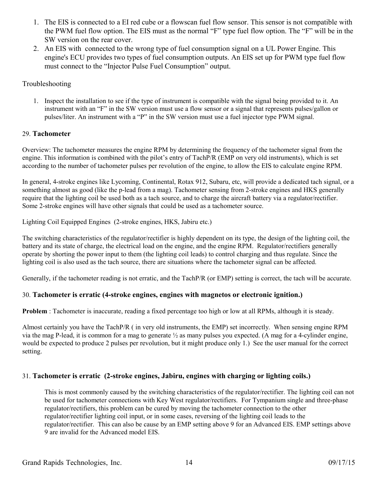- 1. The EIS is connected to a EI red cube or a flowscan fuel flow sensor. This sensor is not compatible with the PWM fuel flow option. The EIS must as the normal "F" type fuel flow option. The "F" will be in the SW version on the rear cover.
- 2. An EIS with connected to the wrong type of fuel consumption signal on a UL Power Engine. This engine's ECU provides two types of fuel consumption outputs. An EIS set up for PWM type fuel flow must connect to the "Injector Pulse Fuel Consumption" output.

### Troubleshooting

1. Inspect the installation to see if the type of instrument is compatible with the signal being provided to it. An instrument with an "F" in the SW version must use a flow sensor or a signal that represents pulses/gallon or pulses/liter. An instrument with a "P" in the SW version must use a fuel injector type PWM signal.

### <span id="page-13-2"></span>29. **Tachometer**

Overview: The tachometer measures the engine RPM by determining the frequency of the tachometer signal from the engine. This information is combined with the pilot's entry of TachP/R (EMP on very old instruments), which is set according to the number of tachometer pulses per revolution of the engine, to allow the EIS to calculate engine RPM.

In general, 4-stroke engines like Lycoming, Continental, Rotax 912, Subaru, etc, will provide a dedicated tach signal, or a something almost as good (like the p-lead from a mag). Tachometer sensing from 2-stroke engines and HKS generally require that the lighting coil be used both as a tach source, and to charge the aircraft battery via a regulator/rectifier. Some 2-stroke engines will have other signals that could be used as a tachometer source.

Lighting Coil Equipped Engines (2-stroke engines, HKS, Jabiru etc.)

The switching characteristics of the regulator/rectifier is highly dependent on its type, the design of the lighting coil, the battery and its state of charge, the electrical load on the engine, and the engine RPM. Regulator/rectifiers generally operate by shorting the power input to them (the lighting coil leads) to control charging and thus regulate. Since the lighting coil is also used as the tach source, there are situations where the tachometer signal can be affected.

Generally, if the tachometer reading is not erratic, and the TachP/R (or EMP) setting is correct, the tach will be accurate.

## <span id="page-13-1"></span>30. **Tachometer is erratic (4-stroke engines, engines with magnetos or electronic ignition.)**

**Problem** : Tachometer is inaccurate, reading a fixed percentage too high or low at all RPMs, although it is steady.

Almost certainly you have the TachP/R ( in very old instruments, the EMP) set incorrectly. When sensing engine RPM via the mag P-lead, it is common for a mag to generate  $\frac{1}{2}$  as many pulses you expected. (A mag for a 4-cylinder engine, would be expected to produce 2 pulses per revolution, but it might produce only 1.) See the user manual for the correct setting.

## <span id="page-13-0"></span>31. **Tachometer is erratic (2-stroke engines, Jabiru, engines with charging or lighting coils.)**

This is most commonly caused by the switching characteristics of the regulator/rectifier. The lighting coil can not be used for tachometer connections with Key West regulator/rectifiers. For Tympanium single and three-phase regulator/rectifiers, this problem can be cured by moving the tachometer connection to the other regulator/rectifier lighting coil input, or in some cases, reversing of the lighting coil leads to the regulator/rectifier. This can also be cause by an EMP setting above 9 for an Advanced EIS. EMP settings above 9 are invalid for the Advanced model EIS.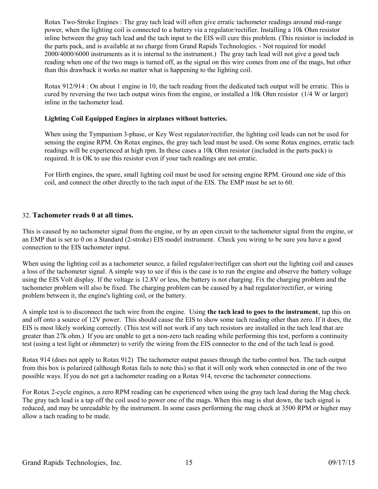Rotax Two-Stroke Engines : The gray tach lead will often give erratic tachometer readings around mid-range power, when the lighting coil is connected to a battery via a regulator/rectifier. Installing a 10k Ohm resistor inline between the gray tach lead and the tach input to the EIS will cure this problem. (This resistor is included in the parts pack, and is available at no charge from Grand Rapids Technologies. - Not required for model 2000/4000/6000 instruments as it is internal to the instrument.) The gray tach lead will not give a good tach reading when one of the two mags is turned off, as the signal on this wire comes from one of the mags, but other than this drawback it works no matter what is happening to the lighting coil.

Rotax 912/914 : On about 1 engine in 10, the tach reading from the dedicated tach output will be erratic. This is cured by reversing the two tach output wires from the engine, or installed a 10k Ohm resistor (1/4 W or larger) inline in the tachometer lead.

### **Lighting Coil Equipped Engines in airplanes without batteries.**

When using the Tympanium 3-phase, or Key West regulator/rectifier, the lighting coil leads can not be used for sensing the engine RPM. On Rotax engines, the gray tach lead must be used. On some Rotax engines, erratic tach readings will be experienced at high rpm. In these cases a 10k Ohm resistor (included in the parts pack) is required. It is OK to use this resistor even if your tach readings are not erratic.

For Hirth engines, the spare, small lighting coil must be used for sensing engine RPM. Ground one side of this coil, and connect the other directly to the tach input of the EIS. The EMP must be set to 60.

### <span id="page-14-0"></span>32. **Tachometer reads 0 at all times.**

This is caused by no tachometer signal from the engine, or by an open circuit to the tachometer signal from the engine, or an EMP that is set to 0 on a Standard (2-stroke) EIS model instrument. Check you wiring to be sure you have a good connection to the EIS tachometer input.

When using the lighting coil as a tachometer source, a failed regulator/rectifiger can short out the lighting coil and causes a loss of the tachometer signal. A simple way to see if this is the case is to run the engine and observe the battery voltage using the EIS Volt display. If the voltage is 12.8V or less, the battery is not charging. Fix the charging problem and the tachometer problem will also be fixed. The charging problem can be caused by a bad regulator/rectifier, or wiring problem between it, the engine's lighting coil, or the battery.

A simple test is to disconnect the tach wire from the engine. Using **the tach lead to goes to the instrument**, tap this on and off onto a source of 12V power. This should cause the EIS to show some tach reading other than zero. If it does, the EIS is most likely working correctly. (This test will not work if any tach resistors are installed in the tach lead that are greater than 27k ohm.) If you are unable to get a non-zero tach reading while performing this test, perform a continuity test (using a test light or ohmmeter) to verify the wiring from the EIS connector to the end of the tach lead is good.

Rotax 914 (does not apply to Rotax 912) The tachometer output passes through the turbo control box. The tach output from this box is polarized (although Rotax fails to note this) so that it will only work when connected in one of the two possible ways. If you do not get a tachometer reading on a Rotax 914, reverse the tachometer connections.

For Rotax 2-cycle engines, a zero RPM reading can be experienced when using the gray tach lead during the Mag check. The gray tach lead is a tap off the coil used to power one of the mags. When this mag is shut down, the tach signal is reduced, and may be unreadable by the instrument. In some cases performing the mag check at 3500 RPM or higher may allow a tach reading to be made.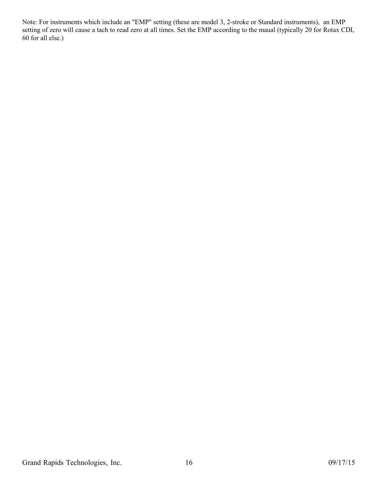Note: For instruments which include an "EMP" setting (these are model 3, 2-stroke or Standard instruments), an EMP setting of zero will cause a tach to read zero at all times. Set the EMP according to the maual (typically 20 for Rotax CDI, 60 for all else.)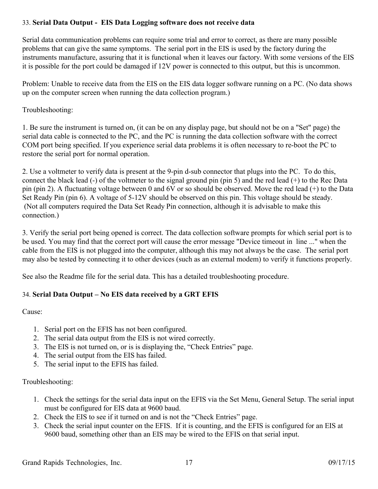## <span id="page-16-1"></span>33. **Serial Data Output - EIS Data Logging software does not receive data**

Serial data communication problems can require some trial and error to correct, as there are many possible problems that can give the same symptoms. The serial port in the EIS is used by the factory during the instruments manufacture, assuring that it is functional when it leaves our factory. With some versions of the EIS it is possible for the port could be damaged if 12V power is connected to this output, but this is uncommon.

Problem: Unable to receive data from the EIS on the EIS data logger software running on a PC. (No data shows up on the computer screen when running the data collection program.)

Troubleshooting:

1. Be sure the instrument is turned on, (it can be on any display page, but should not be on a "Set" page) the serial data cable is connected to the PC, and the PC is running the data collection software with the correct COM port being specified. If you experience serial data problems it is often necessary to re-boot the PC to restore the serial port for normal operation.

2. Use a voltmeter to verify data is present at the 9-pin d-sub connector that plugs into the PC. To do this, connect the black lead (-) of the voltmeter to the signal ground pin (pin 5) and the red lead (+) to the Rec Data pin (pin 2). A fluctuating voltage between 0 and 6V or so should be observed. Move the red lead (+) to the Data Set Ready Pin (pin 6). A voltage of 5-12V should be observed on this pin. This voltage should be steady. (Not all computers required the Data Set Ready Pin connection, although it is advisable to make this connection.)

3. Verify the serial port being opened is correct. The data collection software prompts for which serial port is to be used. You may find that the correct port will cause the error message "Device timeout in line ..." when the cable from the EIS is not plugged into the computer, although this may not always be the case. The serial port may also be tested by connecting it to other devices (such as an external modem) to verify it functions properly.

See also the Readme file for the serial data. This has a detailed troubleshooting procedure.

## <span id="page-16-0"></span>34. **Serial Data Output – No EIS data received by a GRT EFIS**

Cause:

- 1. Serial port on the EFIS has not been configured.
- 2. The serial data output from the EIS is not wired correctly.
- 3. The EIS is not turned on, or is is displaying the, "Check Entries" page.
- 4. The serial output from the EIS has failed.
- 5. The serial input to the EFIS has failed.

## Troubleshooting:

- 1. Check the settings for the serial data input on the EFIS via the Set Menu, General Setup. The serial input must be configured for EIS data at 9600 baud.
- 2. Check the EIS to see if it turned on and is not the "Check Entries" page.
- 3. Check the serial input counter on the EFIS. If it is counting, and the EFIS is configured for an EIS at 9600 baud, something other than an EIS may be wired to the EFIS on that serial input.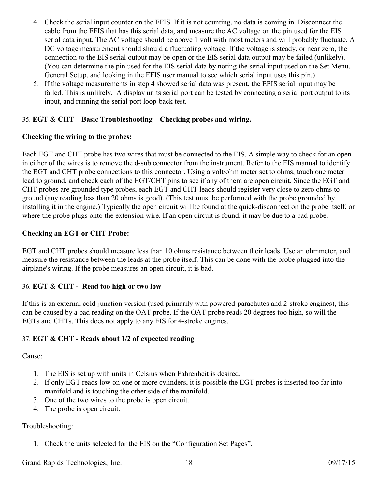- 4. Check the serial input counter on the EFIS. If it is not counting, no data is coming in. Disconnect the cable from the EFIS that has this serial data, and measure the AC voltage on the pin used for the EIS serial data input. The AC voltage should be above 1 volt with most meters and will probably fluctuate. A DC voltage measurement should should a fluctuating voltage. If the voltage is steady, or near zero, the connection to the EIS serial output may be open or the EIS serial data output may be failed (unlikely). (You can determine the pin used for the EIS serial data by noting the serial input used on the Set Menu, General Setup, and looking in the EFIS user manual to see which serial input uses this pin.)
- 5. If the voltage measurements in step 4 showed serial data was present, the EFIS serial input may be failed. This is unlikely. A display units serial port can be tested by connecting a serial port output to its input, and running the serial port loop-back test.

## <span id="page-17-2"></span>35. **EGT & CHT – Basic Troubleshooting – Checking probes and wiring.**

## **Checking the wiring to the probes:**

Each EGT and CHT probe has two wires that must be connected to the EIS. A simple way to check for an open in either of the wires is to remove the d-sub connector from the instrument. Refer to the EIS manual to identify the EGT and CHT probe connections to this connector. Using a volt/ohm meter set to ohms, touch one meter lead to ground, and check each of the EGT/CHT pins to see if any of them are open circuit. Since the EGT and CHT probes are grounded type probes, each EGT and CHT leads should register very close to zero ohms to ground (any reading less than 20 ohms is good). (This test must be performed with the probe grounded by installing it in the engine.) Typically the open circuit will be found at the quick-disconnect on the probe itself, or where the probe plugs onto the extension wire. If an open circuit is found, it may be due to a bad probe.

## **Checking an EGT or CHT Probe:**

EGT and CHT probes should measure less than 10 ohms resistance between their leads. Use an ohmmeter, and measure the resistance between the leads at the probe itself. This can be done with the probe plugged into the airplane's wiring. If the probe measures an open circuit, it is bad.

## <span id="page-17-1"></span>36. **EGT & CHT - Read too high or two low**

If this is an external cold-junction version (used primarily with powered-parachutes and 2-stroke engines), this can be caused by a bad reading on the OAT probe. If the OAT probe reads 20 degrees too high, so will the EGTs and CHTs. This does not apply to any EIS for 4-stroke engines.

## <span id="page-17-0"></span>37. **EGT & CHT - Reads about 1/2 of expected reading**

#### Cause:

- 1. The EIS is set up with units in Celsius when Fahrenheit is desired.
- 2. If only EGT reads low on one or more cylinders, it is possible the EGT probes is inserted too far into manifold and is touching the other side of the manifold.
- 3. One of the two wires to the probe is open circuit.
- 4. The probe is open circuit.

## Troubleshooting:

1. Check the units selected for the EIS on the "Configuration Set Pages".

Grand Rapids Technologies, Inc. 18 18 09/17/15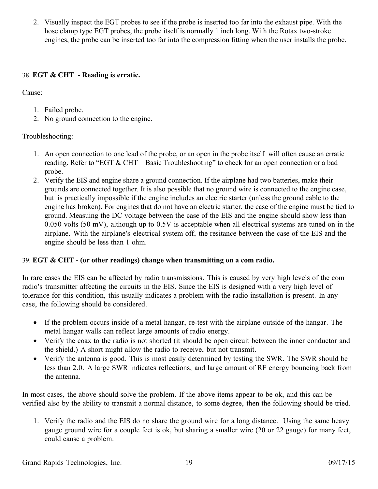2. Visually inspect the EGT probes to see if the probe is inserted too far into the exhaust pipe. With the hose clamp type EGT probes, the probe itself is normally 1 inch long. With the Rotax two-stroke engines, the probe can be inserted too far into the compression fitting when the user installs the probe.

## <span id="page-18-1"></span>38. **EGT & CHT - Reading is erratic.**

Cause:

- 1. Failed probe.
- 2. No ground connection to the engine.

## Troubleshooting:

- 1. An open connection to one lead of the probe, or an open in the probe itself will often cause an erratic reading. Refer to "EGT & CHT – Basic Troubleshooting" to check for an open connection or a bad probe.
- 2. Verify the EIS and engine share a ground connection. If the airplane had two batteries, make their grounds are connected together. It is also possible that no ground wire is connected to the engine case, but is practically impossible if the engine includes an electric starter (unless the ground cable to the engine has broken). For engines that do not have an electric starter, the case of the engine must be tied to ground. Measuing the DC voltage between the case of the EIS and the engine should show less than 0.050 volts (50 mV), although up to 0.5V is acceptable when all electrical systems are tuned on in the airplane. With the airplane's electrical system off, the resitance between the case of the EIS and the engine should be less than 1 ohm.

## <span id="page-18-0"></span>39. **EGT & CHT - (or other readings) change when transmitting on a com radio.**

In rare cases the EIS can be affected by radio transmissions. This is caused by very high levels of the com radio's transmitter affecting the circuits in the EIS. Since the EIS is designed with a very high level of tolerance for this condition, this usually indicates a problem with the radio installation is present. In any case, the following should be considered.

- If the problem occurs inside of a metal hangar, re-test with the airplane outside of the hangar. The metal hangar walls can reflect large amounts of radio energy.
- Verify the coax to the radio is not shorted (it should be open circuit between the inner conductor and the shield.) A short might allow the radio to receive, but not transmit.
- Verify the antenna is good. This is most easily determined by testing the SWR. The SWR should be less than 2.0. A large SWR indicates reflections, and large amount of RF energy bouncing back from the antenna.

In most cases, the above should solve the problem. If the above items appear to be ok, and this can be verified also by the ability to transmit a normal distance, to some degree, then the following should be tried.

1. Verify the radio and the EIS do no share the ground wire for a long distance. Using the same heavy gauge ground wire for a couple feet is ok, but sharing a smaller wire (20 or 22 gauge) for many feet, could cause a problem.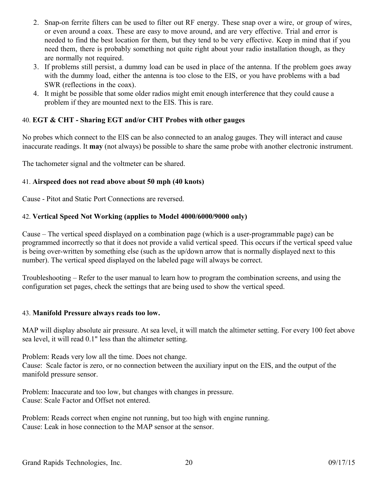- 2. Snap-on ferrite filters can be used to filter out RF energy. These snap over a wire, or group of wires, or even around a coax. These are easy to move around, and are very effective. Trial and error is needed to find the best location for them, but they tend to be very effective. Keep in mind that if you need them, there is probably something not quite right about your radio installation though, as they are normally not required.
- 3. If problems still persist, a dummy load can be used in place of the antenna. If the problem goes away with the dummy load, either the antenna is too close to the EIS, or you have problems with a bad SWR (reflections in the coax).
- 4. It might be possible that some older radios might emit enough interference that they could cause a problem if they are mounted next to the EIS. This is rare.

## <span id="page-19-3"></span>40. **EGT & CHT - Sharing EGT and/or CHT Probes with other gauges**

No probes which connect to the EIS can be also connected to an analog gauges. They will interact and cause inaccurate readings. It **may** (not always) be possible to share the same probe with another electronic instrument.

The tachometer signal and the voltmeter can be shared.

### <span id="page-19-2"></span>41. **Airspeed does not read above about 50 mph (40 knots)**

Cause - Pitot and Static Port Connections are reversed.

### <span id="page-19-1"></span>42. **Vertical Speed Not Working (applies to Model 4000/6000/9000 only)**

Cause – The vertical speed displayed on a combination page (which is a user-programmable page) can be programmed incorrectly so that it does not provide a valid vertical speed. This occurs if the vertical speed value is being over-written by something else (such as the up/down arrow that is normally displayed next to this number). The vertical speed displayed on the labeled page will always be correct.

Troubleshooting – Refer to the user manual to learn how to program the combination screens, and using the configuration set pages, check the settings that are being used to show the vertical speed.

#### <span id="page-19-0"></span>43. **Manifold Pressure always reads too low.**

MAP will display absolute air pressure. At sea level, it will match the altimeter setting. For every 100 feet above sea level, it will read 0.1" less than the altimeter setting.

Problem: Reads very low all the time. Does not change. Cause: Scale factor is zero, or no connection between the auxiliary input on the EIS, and the output of the manifold pressure sensor.

Problem: Inaccurate and too low, but changes with changes in pressure. Cause: Scale Factor and Offset not entered.

Problem: Reads correct when engine not running, but too high with engine running. Cause: Leak in hose connection to the MAP sensor at the sensor.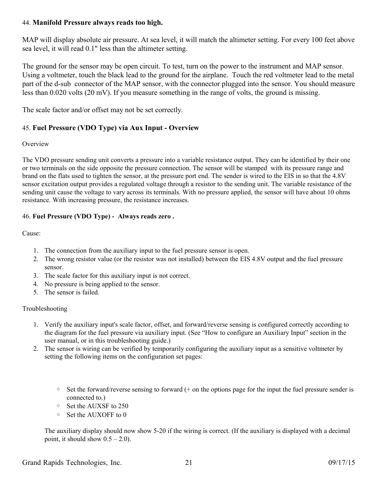### <span id="page-20-2"></span>44. **Manifold Pressure always reads too high.**

MAP will display absolute air pressure. At sea level, it will match the altimeter setting. For every 100 feet above sea level, it will read 0.1" less than the altimeter setting.

The ground for the sensor may be open circuit. To test, turn on the power to the instrument and MAP sensor. Using a voltmeter, touch the black lead to the ground for the airplane. Touch the red voltmeter lead to the metal part of the d-sub connector of the MAP sensor, with the connector plugged into the sensor. You should measure less than 0.020 volts (20 mV). If you measure something in the range of volts, the ground is missing.

The scale factor and/or offset may not be set correctly.

## <span id="page-20-1"></span>45. **Fuel Pressure (VDO Type) via Aux Input - Overview**

#### **Overview**

The VDO pressure sending unit converts a pressure into a variable resistance output. They can be identified by their one or two terminals on the side opposite the pressure connection. The sensor will be stamped with its pressure range and brand on the flats used to tighten the sensor, at the pressure port end. The sender is wired to the EIS in so that the 4.8V sensor excitation output provides a regulated voltage through a resistor to the sending unit. The variable resistance of the sending unit cause the voltage to vary across its terminals. With no pressure applied, the sensor will have about 10 ohms resistance. With increasing pressure, the resistance increases.

### <span id="page-20-0"></span>46. **Fuel Pressure (VDO Type) - Always reads zero .**

Cause:

- 1. The connection from the auxiliary input to the fuel pressure sensor is open.
- 2. The wrong resistor value (or the resistor was not installed) between the EIS 4.8V output and the fuel pressure sensor.
- 3. The scale factor for this auxiliary input is not correct.
- 4. No pressure is being applied to the sensor.
- 5. The sensor is failed.

#### Troubleshooting

- 1. Verify the auxiliary input's scale factor, offset, and forward/reverse sensing is configured correctly according to the diagram for the fuel pressure via auxiliary input. (See "How to configure an Auxiliary Input" section in the user manual, or in this troubleshooting guide.)
- 2. The sensor is wiring can be verified by temporarily configuring the auxiliary input as a sensitive voltmeter by setting the following items on the configuration set pages:
	- $\circ$  Set the forward/reverse sensing to forward (+ on the options page for the input the fuel pressure sender is connected to.)
	- Set the AUXSF to 250
	- Set the AUXOFF to 0

The auxiliary display should now show 5-20 if the wiring is correct. (If the auxiliary is displayed with a decimal point, it should show  $0.5 - 2.0$ ).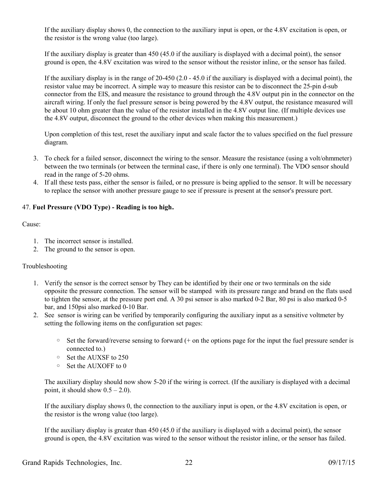If the auxiliary display shows 0, the connection to the auxiliary input is open, or the 4.8V excitation is open, or the resistor is the wrong value (too large).

If the auxiliary display is greater than 450 (45.0 if the auxiliary is displayed with a decimal point), the sensor ground is open, the 4.8V excitation was wired to the sensor without the resistor inline, or the sensor has failed.

If the auxiliary display is in the range of 20-450 (2.0 - 45.0 if the auxiliary is displayed with a decimal point), the resistor value may be incorrect. A simple way to measure this resistor can be to disconnect the 25-pin d-sub connector from the EIS, and measure the resistance to ground through the 4.8V output pin in the connector on the aircraft wiring. If only the fuel pressure sensor is being powered by the 4.8V output, the resistance measured will be about 10 ohm greater than the value of the resistor installed in the 4.8V output line. (If multiple devices use the 4.8V output, disconnect the ground to the other devices when making this measurement.)

Upon completion of this test, reset the auxiliary input and scale factor the to values specified on the fuel pressure diagram.

- 3. To check for a failed sensor, disconnect the wiring to the sensor. Measure the resistance (using a volt/ohmmeter) between the two terminals (or between the terminal case, if there is only one terminal). The VDO sensor should read in the range of 5-20 ohms.
- 4. If all these tests pass, either the sensor is failed, or no pressure is being applied to the sensor. It will be necessary to replace the sensor with another pressure gauge to see if pressure is present at the sensor's pressure port.

#### <span id="page-21-0"></span>47. **Fuel Pressure (VDO Type) - Reading is too high.**

#### Cause:

- 1. The incorrect sensor is installed.
- 2. The ground to the sensor is open.

#### Troubleshooting

- 1. Verify the sensor is the correct sensor by They can be identified by their one or two terminals on the side opposite the pressure connection. The sensor will be stamped with its pressure range and brand on the flats used to tighten the sensor, at the pressure port end. A 30 psi sensor is also marked 0-2 Bar, 80 psi is also marked 0-5 bar, and 150psi also marked 0-10 Bar.
- 2. See sensor is wiring can be verified by temporarily configuring the auxiliary input as a sensitive voltmeter by setting the following items on the configuration set pages:
	- $\circ$  Set the forward/reverse sensing to forward (+ on the options page for the input the fuel pressure sender is connected to.)
	- Set the AUXSF to 250
	- Set the AUXOFF to 0

The auxiliary display should now show 5-20 if the wiring is correct. (If the auxiliary is displayed with a decimal point, it should show  $0.5 - 2.0$ ).

If the auxiliary display shows 0, the connection to the auxiliary input is open, or the 4.8V excitation is open, or the resistor is the wrong value (too large).

If the auxiliary display is greater than 450 (45.0 if the auxiliary is displayed with a decimal point), the sensor ground is open, the 4.8V excitation was wired to the sensor without the resistor inline, or the sensor has failed.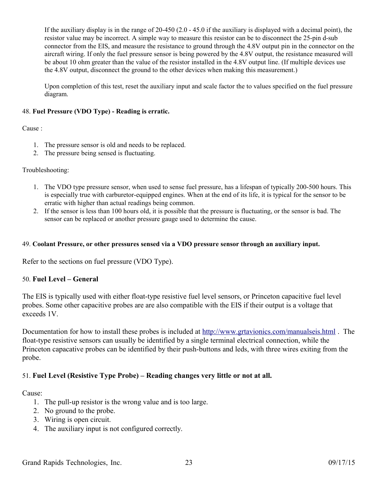If the auxiliary display is in the range of 20-450 (2.0 - 45.0 if the auxiliary is displayed with a decimal point), the resistor value may be incorrect. A simple way to measure this resistor can be to disconnect the 25-pin d-sub connector from the EIS, and measure the resistance to ground through the 4.8V output pin in the connector on the aircraft wiring. If only the fuel pressure sensor is being powered by the 4.8V output, the resistance measured will be about 10 ohm greater than the value of the resistor installed in the 4.8V output line. (If multiple devices use the 4.8V output, disconnect the ground to the other devices when making this measurement.)

Upon completion of this test, reset the auxiliary input and scale factor the to values specified on the fuel pressure diagram.

#### <span id="page-22-3"></span>48. **Fuel Pressure (VDO Type) - Reading is erratic.**

Cause :

- 1. The pressure sensor is old and needs to be replaced.
- 2. The pressure being sensed is fluctuating.

### Troubleshooting:

- 1. The VDO type pressure sensor, when used to sense fuel pressure, has a lifespan of typically 200-500 hours. This is especially true with carburetor-equipped engines. When at the end of its life, it is typical for the sensor to be erratic with higher than actual readings being common.
- 2. If the sensor is less than 100 hours old, it is possible that the pressure is fluctuating, or the sensor is bad. The sensor can be replaced or another pressure gauge used to determine the cause.

### <span id="page-22-2"></span>49. **Coolant Pressure, or other pressures sensed via a VDO pressure sensor through an auxiliary input.**

Refer to the sections on fuel pressure (VDO Type).

## <span id="page-22-1"></span>50. **Fuel Level – General**

The EIS is typically used with either float-type resistive fuel level sensors, or Princeton capacitive fuel level probes. Some other capacitive probes are are also compatible with the EIS if their output is a voltage that exceeds 1V.

Documentation for how to install these probes is included at http://www.grtavionics.com/manualseis.html. The float-type resistive sensors can usually be identified by a single terminal electrical connection, while the Princeton capacative probes can be identified by their push-buttons and leds, with three wires exiting from the probe.

## <span id="page-22-0"></span>51. **Fuel Level (Resistive Type Probe) – Reading changes very little or not at all.**

Cause:

- 1. The pull-up resistor is the wrong value and is too large.
- 2. No ground to the probe.
- 3. Wiring is open circuit.
- 4. The auxiliary input is not configured correctly.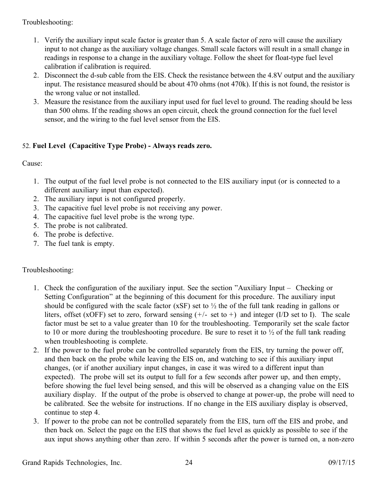Troubleshooting:

- 1. Verify the auxiliary input scale factor is greater than 5. A scale factor of zero will cause the auxiliary input to not change as the auxiliary voltage changes. Small scale factors will result in a small change in readings in response to a change in the auxiliary voltage. Follow the sheet for float-type fuel level calibration if calibration is required.
- 2. Disconnect the d-sub cable from the EIS. Check the resistance between the 4.8V output and the auxiliary input. The resistance measured should be about 470 ohms (not 470k). If this is not found, the resistor is the wrong value or not installed.
- 3. Measure the resistance from the auxiliary input used for fuel level to ground. The reading should be less than 500 ohms. If the reading shows an open circuit, check the ground connection for the fuel level sensor, and the wiring to the fuel level sensor from the EIS.

## <span id="page-23-0"></span>52. **Fuel Level (Capacitive Type Probe) - Always reads zero.**

Cause:

- 1. The output of the fuel level probe is not connected to the EIS auxiliary input (or is connected to a different auxiliary input than expected).
- 2. The auxiliary input is not configured properly.
- 3. The capacitive fuel level probe is not receiving any power.
- 4. The capacitive fuel level probe is the wrong type.
- 5. The probe is not calibrated.
- 6. The probe is defective.
- 7. The fuel tank is empty.

## Troubleshooting:

- 1. Check the configuration of the auxiliary input. See the section "Auxiliary Input Checking or Setting Configuration" at the beginning of this document for this procedure. The auxiliary input should be configured with the scale factor (xSF) set to ½ the of the full tank reading in gallons or liters, offset (xOFF) set to zero, forward sensing  $(+/-$  set to +) and integer (I/D set to I). The scale factor must be set to a value greater than 10 for the troubleshooting. Temporarily set the scale factor to 10 or more during the troubleshooting procedure. Be sure to reset it to  $\frac{1}{2}$  of the full tank reading when troubleshooting is complete.
- 2. If the power to the fuel probe can be controlled separately from the EIS, try turning the power off, and then back on the probe while leaving the EIS on, and watching to see if this auxiliary input changes, (or if another auxiliary input changes, in case it was wired to a different input than expected). The probe will set its output to full for a few seconds after power up, and then empty, before showing the fuel level being sensed, and this will be observed as a changing value on the EIS auxiliary display. If the output of the probe is observed to change at power-up, the probe will need to be calibrated. See the website for instructions. If no change in the EIS auxiliary display is observed, continue to step 4.
- 3. If power to the probe can not be controlled separately from the EIS, turn off the EIS and probe, and then back on. Select the page on the EIS that shows the fuel level as quickly as possible to see if the aux input shows anything other than zero. If within 5 seconds after the power is turned on, a non-zero

Grand Rapids Technologies, Inc. 24 09/17/15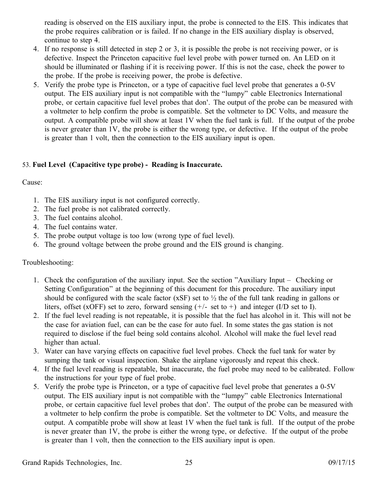reading is observed on the EIS auxiliary input, the probe is connected to the EIS. This indicates that the probe requires calibration or is failed. If no change in the EIS auxiliary display is observed, continue to step 4.

- 4. If no response is still detected in step 2 or 3, it is possible the probe is not receiving power, or is defective. Inspect the Princeton capacitive fuel level probe with power turned on. An LED on it should be illuminated or flashing if it is receiving power. If this is not the case, check the power to the probe. If the probe is receiving power, the probe is defective.
- 5. Verify the probe type is Princeton, or a type of capacitive fuel level probe that generates a 0-5V output. The EIS auxiliary input is not compatible with the "lumpy" cable Electronics International probe, or certain capacitive fuel level probes that don'. The output of the probe can be measured with a voltmeter to help confirm the probe is compatible. Set the voltmeter to DC Volts, and measure the output. A compatible probe will show at least 1V when the fuel tank is full. If the output of the probe is never greater than 1V, the probe is either the wrong type, or defective. If the output of the probe is greater than 1 volt, then the connection to the EIS auxiliary input is open.

## <span id="page-24-0"></span>53. **Fuel Level (Capacitive type probe) - Reading is Inaccurate.**

## Cause:

- 1. The EIS auxiliary input is not configured correctly.
- 2. The fuel probe is not calibrated correctly.
- 3. The fuel contains alcohol.
- 4. The fuel contains water.
- 5. The probe output voltage is too low (wrong type of fuel level).
- 6. The ground voltage between the probe ground and the EIS ground is changing.

## Troubleshooting:

- 1. Check the configuration of the auxiliary input. See the section "Auxiliary Input Checking or Setting Configuration" at the beginning of this document for this procedure. The auxiliary input should be configured with the scale factor (xSF) set to ½ the of the full tank reading in gallons or liters, offset (xOFF) set to zero, forward sensing  $(+/-$  set to +) and integer (I/D set to I).
- 2. If the fuel level reading is not repeatable, it is possible that the fuel has alcohol in it. This will not be the case for aviation fuel, can can be the case for auto fuel. In some states the gas station is not required to disclose if the fuel being sold contains alcohol. Alcohol will make the fuel level read higher than actual.
- 3. Water can have varying effects on capacitive fuel level probes. Check the fuel tank for water by sumping the tank or visual inspection. Shake the airplane vigorously and repeat this check.
- 4. If the fuel level reading is repeatable, but inaccurate, the fuel probe may need to be calibrated. Follow the instructions for your type of fuel probe.
- 5. Verify the probe type is Princeton, or a type of capacitive fuel level probe that generates a 0-5V output. The EIS auxiliary input is not compatible with the "lumpy" cable Electronics International probe, or certain capacitive fuel level probes that don'. The output of the probe can be measured with a voltmeter to help confirm the probe is compatible. Set the voltmeter to DC Volts, and measure the output. A compatible probe will show at least 1V when the fuel tank is full. If the output of the probe is never greater than 1V, the probe is either the wrong type, or defective. If the output of the probe is greater than 1 volt, then the connection to the EIS auxiliary input is open.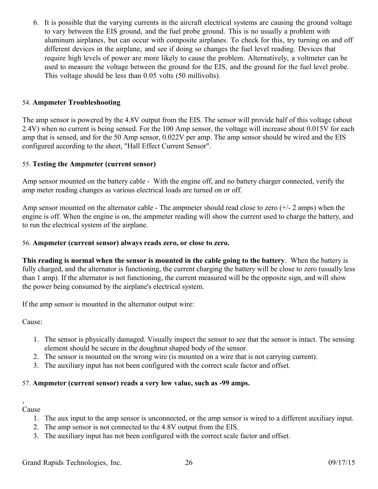6. It is possible that the varying currents in the aircraft electrical systems are causing the ground voltage to vary between the EIS ground, and the fuel probe ground. This is no usually a problem with aluminum airplanes, but can occur with composite airplanes. To check for this, try turning on and off different devices in the airplane, and see if doing so changes the fuel level reading. Devices that require high levels of power are more likely to cause the problem. Alternatively, a voltmeter can be used to measure the voltage between the ground for the EIS, and the ground for the fuel level probe. This voltage should be less than 0.05 volts (50 millivolts).

## <span id="page-25-3"></span>54. **Ampmeter Troubleshooting**

The amp sensor is powered by the 4.8V output from the EIS. The sensor will provide half of this voltage (about 2.4V) when no current is being sensed. For the 100 Amp sensor, the voltage will increase about 0.015V for each amp that is sensed, and for the 50 Amp sensor, 0.022V per amp. The amp sensor should be wired and the EIS configured according to the sheet, "Hall Effect Current Sensor".

### <span id="page-25-2"></span>55. **Testing the Ampmeter (current sensor)**

Amp sensor mounted on the battery cable - With the engine off, and no battery charger connected, verify the amp meter reading changes as various electrical loads are turned on or off.

Amp sensor mounted on the alternator cable - The ampmeter should read close to zero  $(+/- 2$  amps) when the engine is off. When the engine is on, the ampmeter reading will show the current used to charge the battery, and to run the electrical system of the airplane.

### <span id="page-25-1"></span>56. **Ampmeter (current sensor) always reads zero, or close to zero.**

**This reading is normal when the sensor is mounted in the cable going to the battery**. When the battery is fully charged, and the alternator is functioning, the current charging the battery will be close to zero (usually less than 1 amp). If the alternator is not functioning, the current measured will be the opposite sign, and will show the power being consumed by the airplane's electrical system.

If the amp sensor is mounted in the alternator output wire:

Cause:

- 1. The sensor is physically damaged. Visually inspect the sensor to see that the sensor is intact. The sensing element should be secure in the doughnut shaped body of the sensor.
- 2. The sensor is mounted on the wrong wire (is mounted on a wire that is not carrying current).
- 3. The auxiliary input has not been configured with the correct scale factor and offset.

## <span id="page-25-0"></span>57. **Ampmeter (current sensor) reads a very low value, such as -99 amps.**

#### Cause

,

- 1. The aux input to the amp sensor is unconnected, or the amp sensor is wired to a different auxiliary input.
- 2. The amp sensor is not connected to the 4.8V output from the EIS.
- 3. The auxiliary input has not been configured with the correct scale factor and offset.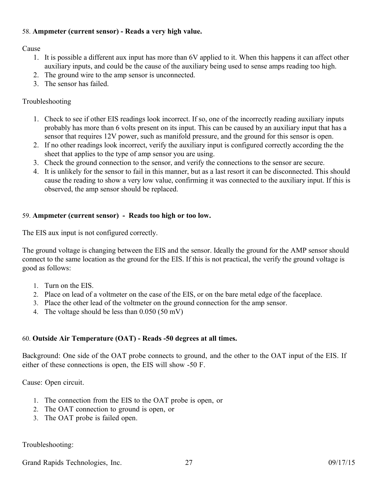## <span id="page-26-2"></span>58. **Ampmeter (current sensor) - Reads a very high value.**

Cause

- 1. It is possible a different aux input has more than 6V applied to it. When this happens it can affect other auxiliary inputs, and could be the cause of the auxiliary being used to sense amps reading too high.
- 2. The ground wire to the amp sensor is unconnected.
- 3. The sensor has failed.

## Troubleshooting

- 1. Check to see if other EIS readings look incorrect. If so, one of the incorrectly reading auxiliary inputs probably has more than 6 volts present on its input. This can be caused by an auxiliary input that has a sensor that requires 12V power, such as manifold pressure, and the ground for this sensor is open.
- 2. If no other readings look incorrect, verify the auxiliary input is configured correctly according the the sheet that applies to the type of amp sensor you are using.
- 3. Check the ground connection to the sensor, and verify the connections to the sensor are secure.
- 4. It is unlikely for the sensor to fail in this manner, but as a last resort it can be disconnected. This should cause the reading to show a very low value, confirming it was connected to the auxiliary input. If this is observed, the amp sensor should be replaced.

## <span id="page-26-1"></span>59. **Ampmeter (current sensor) - Reads too high or too low.**

The EIS aux input is not configured correctly.

The ground voltage is changing between the EIS and the sensor. Ideally the ground for the AMP sensor should connect to the same location as the ground for the EIS. If this is not practical, the verify the ground voltage is good as follows:

- 1. Turn on the EIS.
- 2. Place on lead of a voltmeter on the case of the EIS, or on the bare metal edge of the faceplace.
- 3. Place the other lead of the voltmeter on the ground connection for the amp sensor.
- 4. The voltage should be less than 0.050 (50 mV)

## <span id="page-26-0"></span>60. **Outside Air Temperature (OAT) - Reads -50 degrees at all times.**

Background: One side of the OAT probe connects to ground, and the other to the OAT input of the EIS. If either of these connections is open, the EIS will show -50 F.

Cause: Open circuit.

- 1. The connection from the EIS to the OAT probe is open, or
- 2. The OAT connection to ground is open, or
- 3. The OAT probe is failed open.

## Troubleshooting:

Grand Rapids Technologies, Inc. 27 09/17/15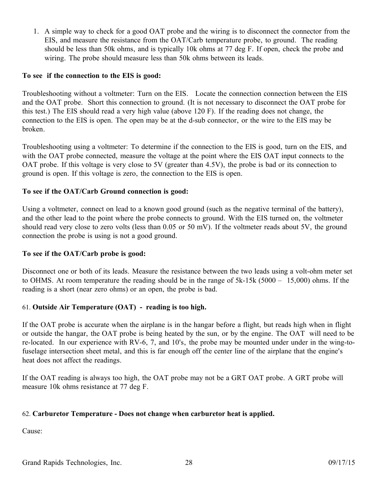1. A simple way to check for a good OAT probe and the wiring is to disconnect the connector from the EIS, and measure the resistance from the OAT/Carb temperature probe, to ground. The reading should be less than 50k ohms, and is typically 10k ohms at 77 deg F. If open, check the probe and wiring. The probe should measure less than 50k ohms between its leads.

### **To see if the connection to the EIS is good:**

Troubleshooting without a voltmeter: Turn on the EIS. Locate the connection connection between the EIS and the OAT probe. Short this connection to ground. (It is not necessary to disconnect the OAT probe for this test.) The EIS should read a very high value (above 120 F). If the reading does not change, the connection to the EIS is open. The open may be at the d-sub connector, or the wire to the EIS may be broken.

Troubleshooting using a voltmeter: To determine if the connection to the EIS is good, turn on the EIS, and with the OAT probe connected, measure the voltage at the point where the EIS OAT input connects to the OAT probe. If this voltage is very close to 5V (greater than 4.5V), the probe is bad or its connection to ground is open. If this voltage is zero, the connection to the EIS is open.

### **To see if the OAT/Carb Ground connection is good:**

Using a voltmeter, connect on lead to a known good ground (such as the negative terminal of the battery), and the other lead to the point where the probe connects to ground. With the EIS turned on, the voltmeter should read very close to zero volts (less than 0.05 or 50 mV). If the voltmeter reads about 5V, the ground connection the probe is using is not a good ground.

#### **To see if the OAT/Carb probe is good:**

Disconnect one or both of its leads. Measure the resistance between the two leads using a volt-ohm meter set to OHMS. At room temperature the reading should be in the range of 5k-15k (5000 – 15,000) ohms. If the reading is a short (near zero ohms) or an open, the probe is bad.

## <span id="page-27-1"></span>61. **Outside Air Temperature (OAT) - reading is too high.**

If the OAT probe is accurate when the airplane is in the hangar before a flight, but reads high when in flight or outside the hangar, the OAT probe is being heated by the sun, or by the engine. The OAT will need to be re-located. In our experience with RV-6, 7, and 10's, the probe may be mounted under under in the wing-tofuselage intersection sheet metal, and this is far enough off the center line of the airplane that the engine's heat does not affect the readings.

If the OAT reading is always too high, the OAT probe may not be a GRT OAT probe. A GRT probe will measure 10k ohms resistance at 77 deg F.

#### <span id="page-27-0"></span>62. **Carburetor Temperature - Does not change when carburetor heat is applied.**

Cause: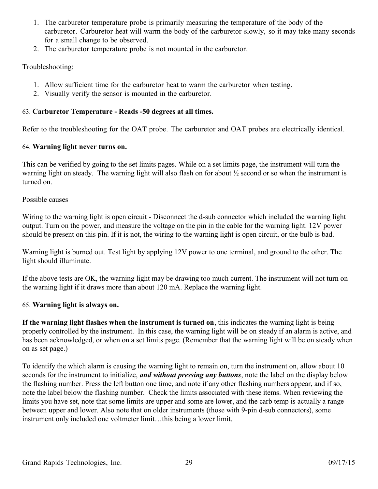- 1. The carburetor temperature probe is primarily measuring the temperature of the body of the carburetor. Carburetor heat will warm the body of the carburetor slowly, so it may take many seconds for a small change to be observed.
- 2. The carburetor temperature probe is not mounted in the carburetor.

## Troubleshooting:

- 1. Allow sufficient time for the carburetor heat to warm the carburetor when testing.
- 2. Visually verify the sensor is mounted in the carburetor.

## <span id="page-28-2"></span>63. **Carburetor Temperature - Reads -50 degrees at all times.**

Refer to the troubleshooting for the OAT probe. The carburetor and OAT probes are electrically identical.

## <span id="page-28-1"></span>64. **Warning light never turns on.**

This can be verified by going to the set limits pages. While on a set limits page, the instrument will turn the warning light on steady. The warning light will also flash on for about ½ second or so when the instrument is turned on.

## Possible causes

Wiring to the warning light is open circuit - Disconnect the d-sub connector which included the warning light output. Turn on the power, and measure the voltage on the pin in the cable for the warning light. 12V power should be present on this pin. If it is not, the wiring to the warning light is open circuit, or the bulb is bad.

Warning light is burned out. Test light by applying 12V power to one terminal, and ground to the other. The light should illuminate.

If the above tests are OK, the warning light may be drawing too much current. The instrument will not turn on the warning light if it draws more than about 120 mA. Replace the warning light.

## <span id="page-28-0"></span>65. **Warning light is always on.**

**If the warning light flashes when the instrument is turned on**, this indicates the warning light is being properly controlled by the instrument. In this case, the warning light will be on steady if an alarm is active, and has been acknowledged, or when on a set limits page. (Remember that the warning light will be on steady when on as set page.)

To identify the which alarm is causing the warning light to remain on, turn the instrument on, allow about 10 seconds for the instrument to initialize, *and without pressing any buttons*, note the label on the display below the flashing number. Press the left button one time, and note if any other flashing numbers appear, and if so, note the label below the flashing number. Check the limits associated with these items. When reviewing the limits you have set, note that some limits are upper and some are lower, and the carb temp is actually a range between upper and lower. Also note that on older instruments (those with 9-pin d-sub connectors), some instrument only included one voltmeter limit...this being a lower limit.